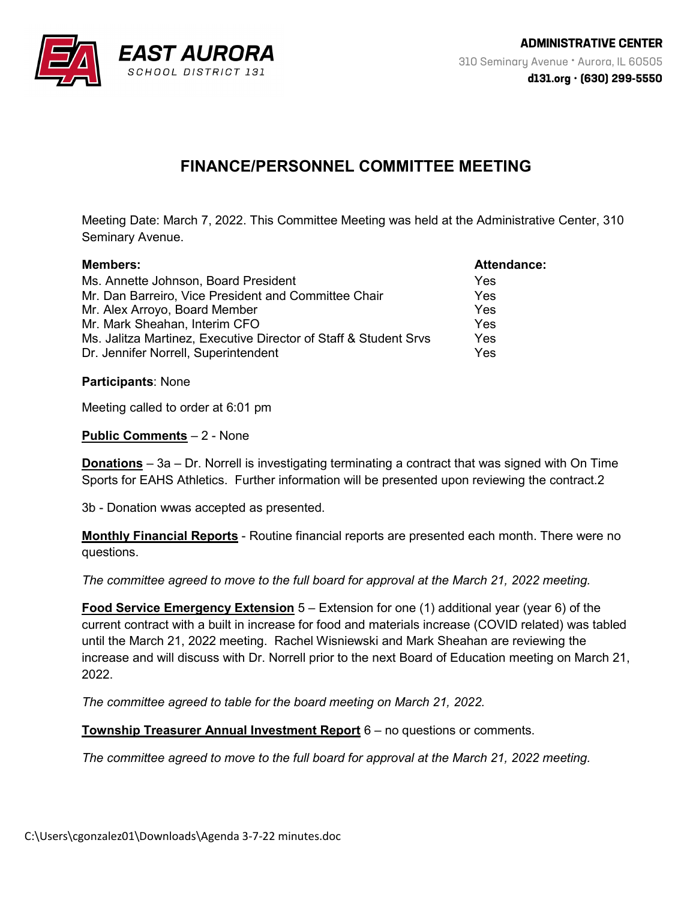

## **FINANCE/PERSONNEL COMMITTEE MEETING**

Meeting Date: March 7, 2022. This Committee Meeting was held at the Administrative Center, 310 Seminary Avenue.

| <b>Members:</b>                                                  | Attendance: |
|------------------------------------------------------------------|-------------|
| Ms. Annette Johnson, Board President                             | Yes         |
| Mr. Dan Barreiro, Vice President and Committee Chair             | Yes         |
| Mr. Alex Arroyo, Board Member                                    | Yes         |
| Mr. Mark Sheahan, Interim CFO                                    | Yes         |
| Ms. Jalitza Martinez, Executive Director of Staff & Student Srvs | <b>Yes</b>  |
| Dr. Jennifer Norrell, Superintendent                             | Yes         |

**Participants**: None

Meeting called to order at 6:01 pm

**Public Comments** – 2 - None

**Donations** – 3a – Dr. Norrell is investigating terminating a contract that was signed with On Time Sports for EAHS Athletics. Further information will be presented upon reviewing the contract.2

3b - Donation wwas accepted as presented.

**Monthly Financial Reports** - Routine financial reports are presented each month. There were no questions.

*The committee agreed to move to the full board for approval at the March 21, 2022 meeting.*

**Food Service Emergency Extension** 5 – Extension for one (1) additional year (year 6) of the current contract with a built in increase for food and materials increase (COVID related) was tabled until the March 21, 2022 meeting. Rachel Wisniewski and Mark Sheahan are reviewing the increase and will discuss with Dr. Norrell prior to the next Board of Education meeting on March 21, 2022.

*The committee agreed to table for the board meeting on March 21, 2022.*

**Township Treasurer Annual Investment Report** 6 – no questions or comments.

*The committee agreed to move to the full board for approval at the March 21, 2022 meeting.*